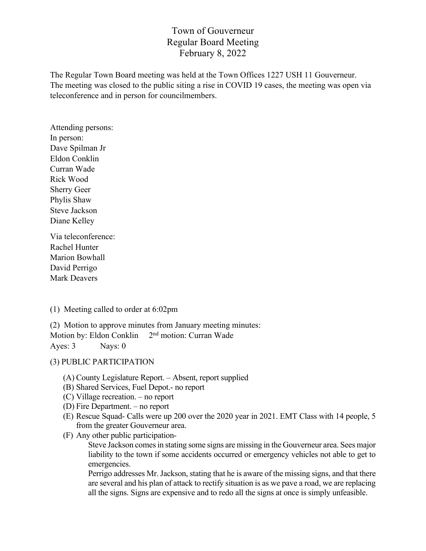# Town of Gouverneur Regular Board Meeting February 8, 2022

The Regular Town Board meeting was held at the Town Offices 1227 USH 11 Gouverneur. The meeting was closed to the public siting a rise in COVID 19 cases, the meeting was open via teleconference and in person for councilmembers.

Attending persons: In person: Dave Spilman Jr Eldon Conklin Curran Wade Rick Wood Sherry Geer Phylis Shaw Steve Jackson Diane Kelley

Via teleconference: Rachel Hunter Marion Bowhall David Perrigo Mark Deavers

(1) Meeting called to order at 6:02pm

(2) Motion to approve minutes from January meeting minutes: Motion by: Eldon Conklin 2<sup>nd</sup> motion: Curran Wade Ayes: 3 Nays: 0

### (3) PUBLIC PARTICIPATION

- (A) County Legislature Report. Absent, report supplied
- (B) Shared Services, Fuel Depot.- no report
- (C) Village recreation. no report
- (D) Fire Department. no report
- (E) Rescue Squad- Calls were up 200 over the 2020 year in 2021. EMT Class with 14 people, 5 from the greater Gouverneur area.
- (F) Any other public participation-

Steve Jackson comes in stating some signs are missing in the Gouverneur area. Sees major liability to the town if some accidents occurred or emergency vehicles not able to get to emergencies.

Perrigo addresses Mr. Jackson, stating that he is aware of the missing signs, and that there are several and his plan of attack to rectify situation is as we pave a road, we are replacing all the signs. Signs are expensive and to redo all the signs at once is simply unfeasible.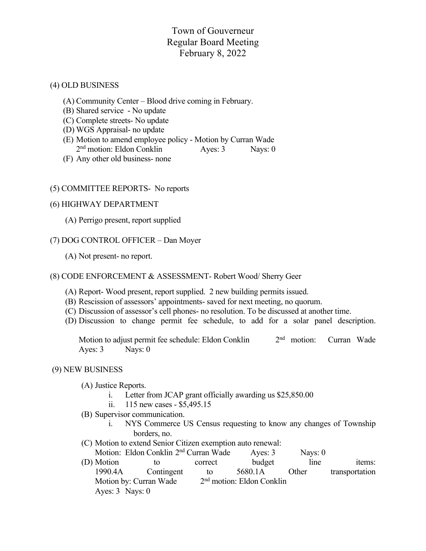# Town of Gouverneur Regular Board Meeting February 8, 2022

#### (4) OLD BUSINESS

- (A) Community Center Blood drive coming in February.
- (B) Shared service No update
- (C) Complete streets- No update
- (D) WGS Appraisal- no update
- (E) Motion to amend employee policy Motion by Curran Wade 2<sup>nd</sup> motion: Eldon Conklin Ayes: 3 Nays: 0
- (F) Any other old business- none

### (5) COMMITTEE REPORTS- No reports

#### (6) HIGHWAY DEPARTMENT

(A) Perrigo present, report supplied

### (7) DOG CONTROL OFFICER – Dan Moyer

(A) Not present- no report.

#### (8) CODE ENFORCEMENT & ASSESSMENT- Robert Wood/ Sherry Geer

- (A) Report- Wood present, report supplied. 2 new building permits issued.
- (B) Rescission of assessors' appointments- saved for next meeting, no quorum.
- (C) Discussion of assessor's cell phones- no resolution. To be discussed at another time.
- (D) Discussion to change permit fee schedule, to add for a solar panel description.

Motion to adjust permit fee schedule: Eldon Conklin 2<sup>nd</sup> motion: Curran Wade Ayes: 3 Nays: 0

#### (9) NEW BUSINESS

- (A) Justice Reports.
	- i. Letter from JCAP grant officially awarding us \$25,850.00
	- ii. 115 new cases \$5,495.15
- (B) Supervisor communication.
	- i. NYS Commerce US Census requesting to know any changes of Township borders, no.
- (C) Motion to extend Senior Citizen exemption auto renewal:
- Motion: Eldon Conklin 2<sup>nd</sup> Curran Wade Ayes: 3 Nays: 0 (D) Motion to correct budget line items: 1990.4A Contingent to 5680.1A Other transportation
	- Motion by: Curran Wade  $2<sup>nd</sup>$  motion: Eldon Conklin Ayes: 3 Nays: 0